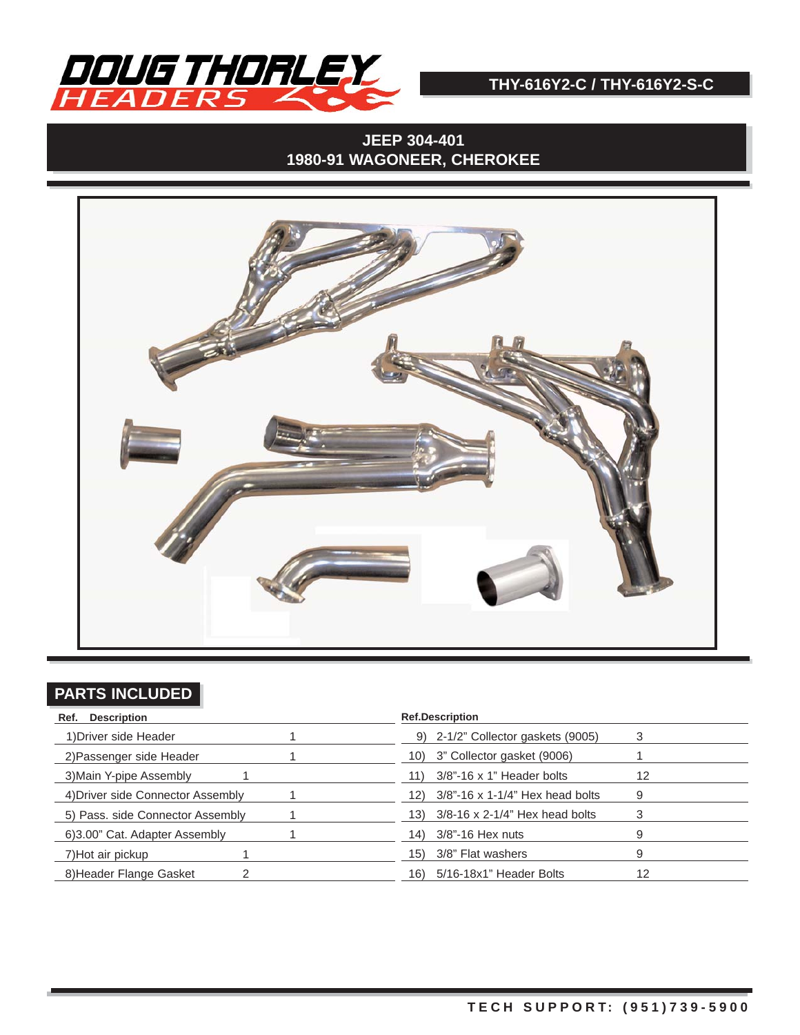

# **JEEP 304-401 1980-91 WAGONEER, CHEROKEE**



## **PARTS INCLUDED**

| Ref. Description                  | <b>Ref.Description</b>                   |
|-----------------------------------|------------------------------------------|
| 1) Driver side Header             | 9) 2-1/2" Collector gaskets (9005)       |
| 2) Passenger side Header          | 10) 3" Collector gasket (9006)           |
| 3) Main Y-pipe Assembly           | 3/8"-16 x 1" Header bolts<br>12<br>11)   |
| 4) Driver side Connector Assembly | 12) 3/8"-16 x 1-1/4" Hex head bolts<br>9 |
| 5) Pass. side Connector Assembly  | 13) 3/8-16 x 2-1/4" Hex head bolts<br>З  |
| 6)3.00" Cat. Adapter Assembly     | 3/8"-16 Hex nuts<br>14)<br>9             |
| 7) Hot air pickup                 | 3/8" Flat washers<br>15)<br>9            |
| 8) Header Flange Gasket           | 12<br>5/16-18x1" Header Bolts<br>16)     |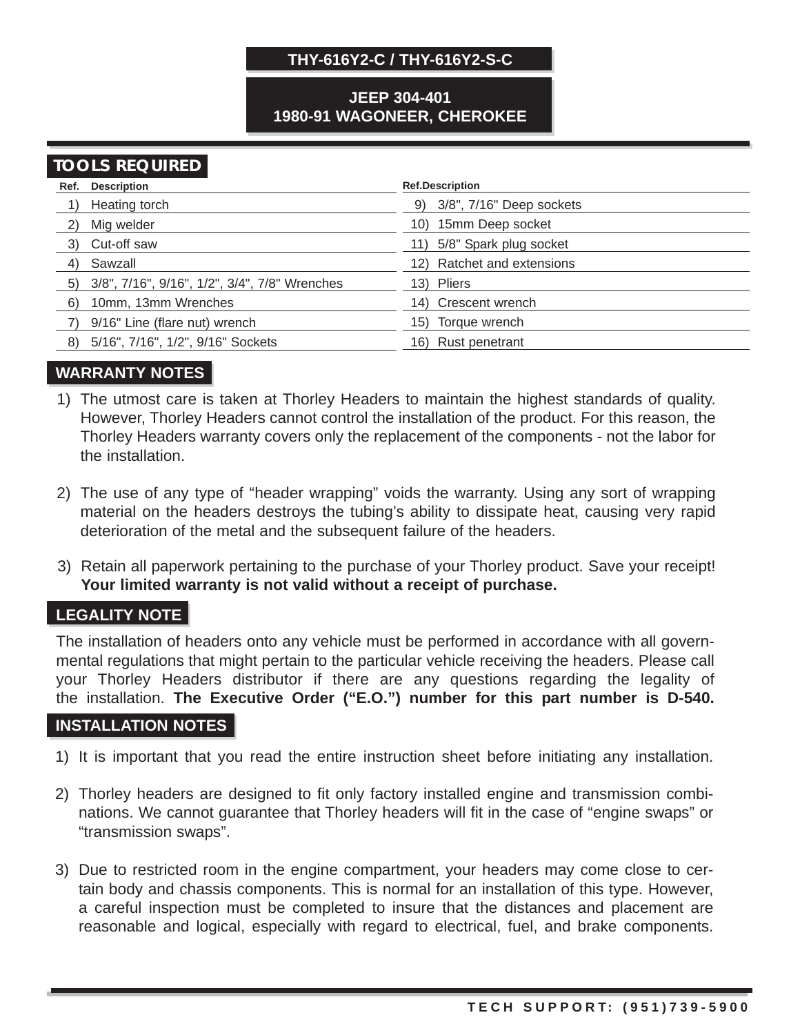#### **JEEP 304-401 1980-91 WAGONEER, CHEROKEE**

# **TOOLS REQUIRED**

|    | Ref. Description                                 | <b>Ref.Description</b>      |
|----|--------------------------------------------------|-----------------------------|
|    | Heating torch                                    | 9) 3/8", 7/16" Deep sockets |
| 2) | Mig welder                                       | 10) 15mm Deep socket        |
|    | 3) Cut-off saw                                   | 11) 5/8" Spark plug socket  |
| 4) | Sawzall                                          | 12) Ratchet and extensions  |
|    | 5) 3/8", 7/16", 9/16", 1/2", 3/4", 7/8" Wrenches | 13) Pliers                  |
| 6) | 10mm, 13mm Wrenches                              | 14) Crescent wrench         |
|    | 9/16" Line (flare nut) wrench                    | 15) Torque wrench           |
| 8) | 5/16", 7/16", 1/2", 9/16" Sockets                | Rust penetrant<br>16).      |

#### **WARRANTY NOTES**

- 1) The utmost care is taken at Thorley Headers to maintain the highest standards of quality. However, Thorley Headers cannot control the installation of the product. For this reason, the Thorley Headers warranty covers only the replacement of the components - not the labor for the installation.
- 2) The use of any type of "header wrapping" voids the warranty. Using any sort of wrapping material on the headers destroys the tubing's ability to dissipate heat, causing very rapid deterioration of the metal and the subsequent failure of the headers.
- 3) Retain all paperwork pertaining to the purchase of your Thorley product. Save your receipt! **Your limited warranty is not valid without a receipt of purchase.**

#### **LEGALITY NOTE**

The installation of headers onto any vehicle must be performed in accordance with all governmental regulations that might pertain to the particular vehicle receiving the headers. Please call your Thorley Headers distributor if there are any questions regarding the legality of the installation. **The Executive Order ("E.O.") number for this part number is D-540.**

#### **INSTALLATION NOTES**

- 1) It is important that you read the entire instruction sheet before initiating any installation.
- 2) Thorley headers are designed to fit only factory installed engine and transmission combinations. We cannot guarantee that Thorley headers will fit in the case of "engine swaps" or "transmission swaps".
- 3) Due to restricted room in the engine compartment, your headers may come close to certain body and chassis components. This is normal for an installation of this type. However, a careful inspection must be completed to insure that the distances and placement are reasonable and logical, especially with regard to electrical, fuel, and brake components.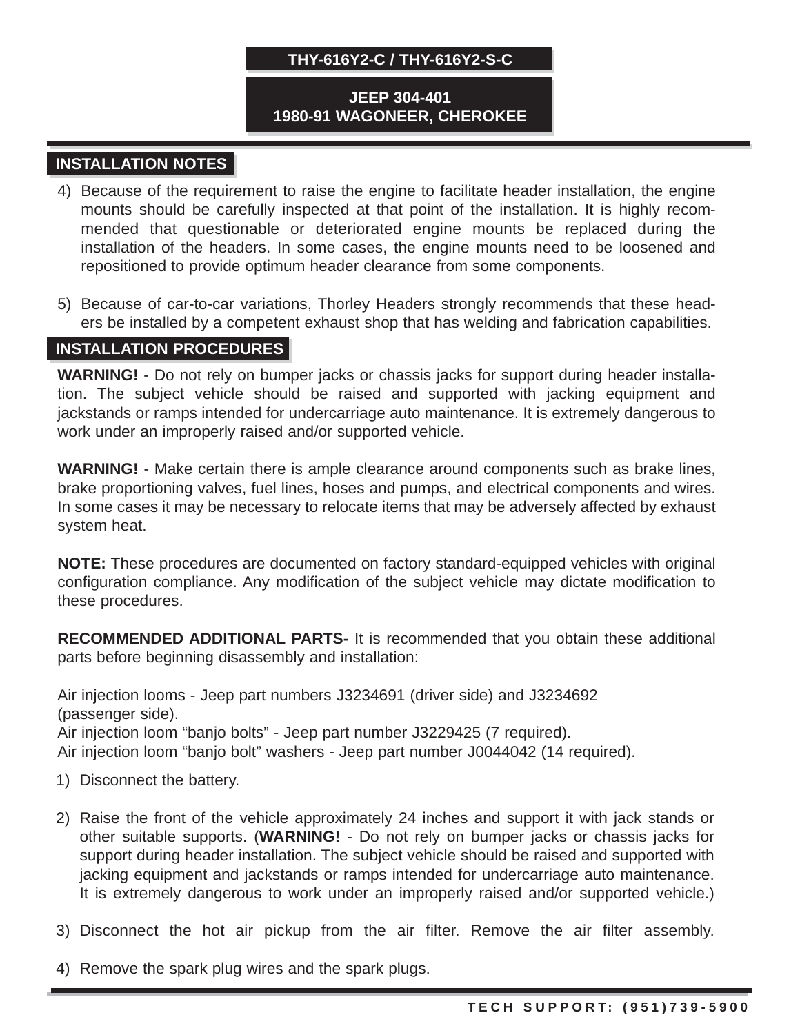#### **JEEP 304-401 1980-91 WAGONEER, CHEROKEE**

### **INSTALLATION NOTES**

- 4) Because of the requirement to raise the engine to facilitate header installation, the engine mounts should be carefully inspected at that point of the installation. It is highly recommended that questionable or deteriorated engine mounts be replaced during the installation of the headers. In some cases, the engine mounts need to be loosened and repositioned to provide optimum header clearance from some components.
- 5) Because of car-to-car variations, Thorley Headers strongly recommends that these headers be installed by a competent exhaust shop that has welding and fabrication capabilities.

### **INSTALLATION PROCEDURES**

**WARNING!** - Do not rely on bumper jacks or chassis jacks for support during header installation. The subject vehicle should be raised and supported with jacking equipment and jackstands or ramps intended for undercarriage auto maintenance. It is extremely dangerous to work under an improperly raised and/or supported vehicle.

**WARNING!** - Make certain there is ample clearance around components such as brake lines, brake proportioning valves, fuel lines, hoses and pumps, and electrical components and wires. In some cases it may be necessary to relocate items that may be adversely affected by exhaust system heat.

**NOTE:** These procedures are documented on factory standard-equipped vehicles with original configuration compliance. Any modification of the subject vehicle may dictate modification to these procedures.

**RECOMMENDED ADDITIONAL PARTS-** It is recommended that you obtain these additional parts before beginning disassembly and installation:

Air injection looms - Jeep part numbers J3234691 (driver side) and J3234692 (passenger side).

Air injection loom "banjo bolts" - Jeep part number J3229425 (7 required).

Air injection loom "banjo bolt" washers - Jeep part number J0044042 (14 required).

- 1) Disconnect the battery.
- 2) Raise the front of the vehicle approximately 24 inches and support it with jack stands or other suitable supports. (**WARNING!** - Do not rely on bumper jacks or chassis jacks for support during header installation. The subject vehicle should be raised and supported with jacking equipment and jackstands or ramps intended for undercarriage auto maintenance. It is extremely dangerous to work under an improperly raised and/or supported vehicle.)
- 3) Disconnect the hot air pickup from the air filter. Remove the air filter assembly.
- 4) Remove the spark plug wires and the spark plugs.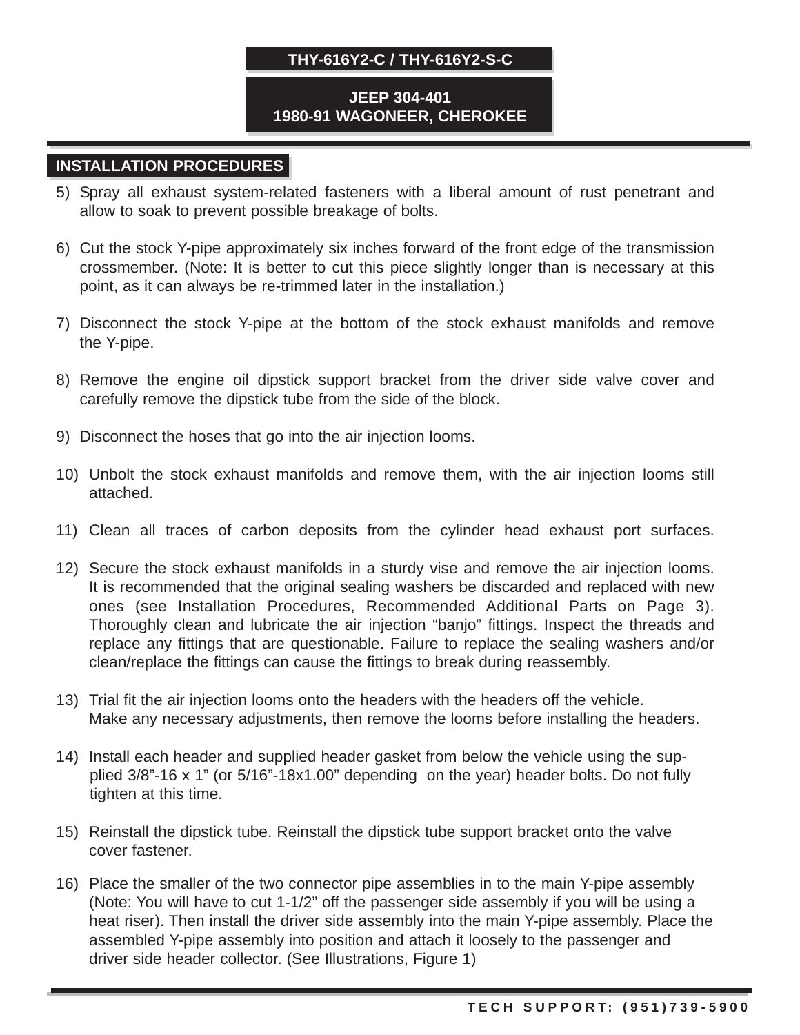#### **JEEP 304-401 1980-91 WAGONEER, CHEROKEE**

## **INSTALLATION PROCEDURES**

- 5) Spray all exhaust system-related fasteners with a liberal amount of rust penetrant and allow to soak to prevent possible breakage of bolts.
- 6) Cut the stock Y-pipe approximately six inches forward of the front edge of the transmission crossmember. (Note: It is better to cut this piece slightly longer than is necessary at this point, as it can always be re-trimmed later in the installation.)
- 7) Disconnect the stock Y-pipe at the bottom of the stock exhaust manifolds and remove the Y-pipe.
- 8) Remove the engine oil dipstick support bracket from the driver side valve cover and carefully remove the dipstick tube from the side of the block.
- 9) Disconnect the hoses that go into the air injection looms.
- 10) Unbolt the stock exhaust manifolds and remove them, with the air injection looms still attached.
- 11) Clean all traces of carbon deposits from the cylinder head exhaust port surfaces.
- 12) Secure the stock exhaust manifolds in a sturdy vise and remove the air injection looms. It is recommended that the original sealing washers be discarded and replaced with new ones (see Installation Procedures, Recommended Additional Parts on Page 3). Thoroughly clean and lubricate the air injection "banjo" fittings. Inspect the threads and replace any fittings that are questionable. Failure to replace the sealing washers and/or clean/replace the fittings can cause the fittings to break during reassembly.
- 13) Trial fit the air injection looms onto the headers with the headers off the vehicle. Make any necessary adjustments, then remove the looms before installing the headers.
- 14) Install each header and supplied header gasket from below the vehicle using the supplied 3/8"-16 x 1" (or 5/16"-18x1.00" depending on the year) header bolts. Do not fully tighten at this time.
- 15) Reinstall the dipstick tube. Reinstall the dipstick tube support bracket onto the valve cover fastener.
- 16) Place the smaller of the two connector pipe assemblies in to the main Y-pipe assembly (Note: You will have to cut 1-1/2" off the passenger side assembly if you will be using a heat riser). Then install the driver side assembly into the main Y-pipe assembly. Place the assembled Y-pipe assembly into position and attach it loosely to the passenger and driver side header collector. (See Illustrations, Figure 1)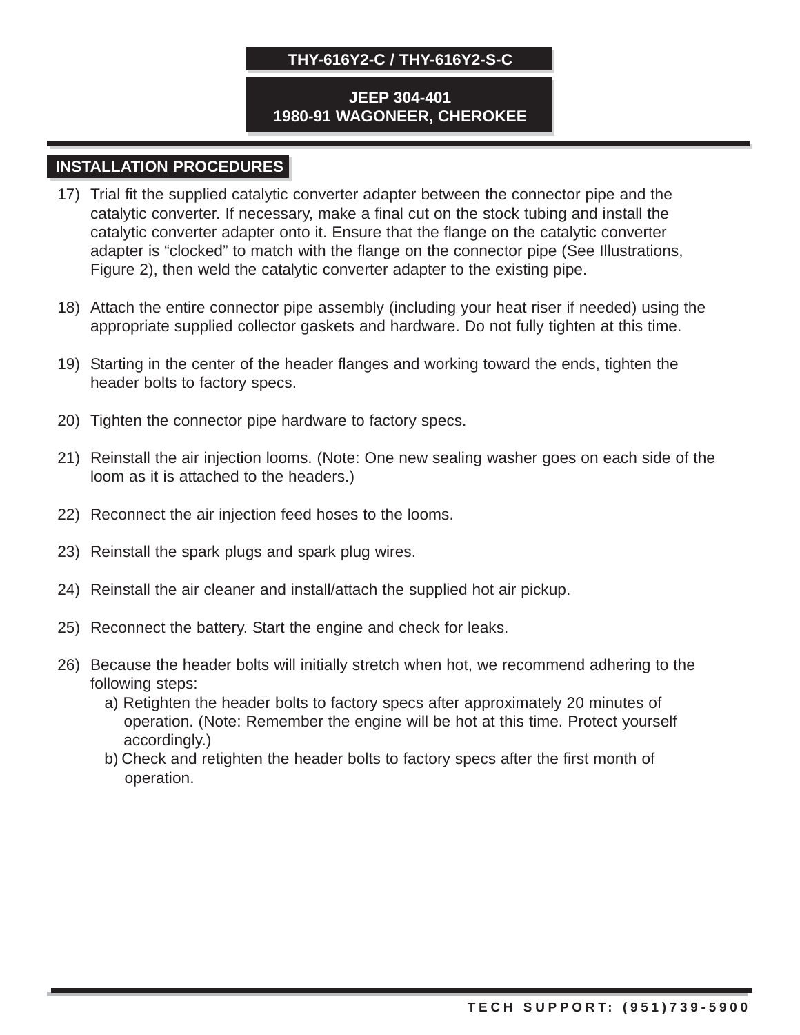#### **JEEP 304-401 1980-91 WAGONEER, CHEROKEE**

### **INSTALLATION PROCEDURES**

- 17) Trial fit the supplied catalytic converter adapter between the connector pipe and the catalytic converter. If necessary, make a final cut on the stock tubing and install the catalytic converter adapter onto it. Ensure that the flange on the catalytic converter adapter is "clocked" to match with the flange on the connector pipe (See Illustrations, Figure 2), then weld the catalytic converter adapter to the existing pipe.
- 18) Attach the entire connector pipe assembly (including your heat riser if needed) using the appropriate supplied collector gaskets and hardware. Do not fully tighten at this time.
- 19) Starting in the center of the header flanges and working toward the ends, tighten the header bolts to factory specs.
- 20) Tighten the connector pipe hardware to factory specs.
- 21) Reinstall the air injection looms. (Note: One new sealing washer goes on each side of the loom as it is attached to the headers.)
- 22) Reconnect the air injection feed hoses to the looms.
- 23) Reinstall the spark plugs and spark plug wires.
- 24) Reinstall the air cleaner and install/attach the supplied hot air pickup.
- 25) Reconnect the battery. Start the engine and check for leaks.
- 26) Because the header bolts will initially stretch when hot, we recommend adhering to the following steps:
	- a) Retighten the header bolts to factory specs after approximately 20 minutes of operation. (Note: Remember the engine will be hot at this time. Protect yourself accordingly.)
	- b) Check and retighten the header bolts to factory specs after the first month of operation.